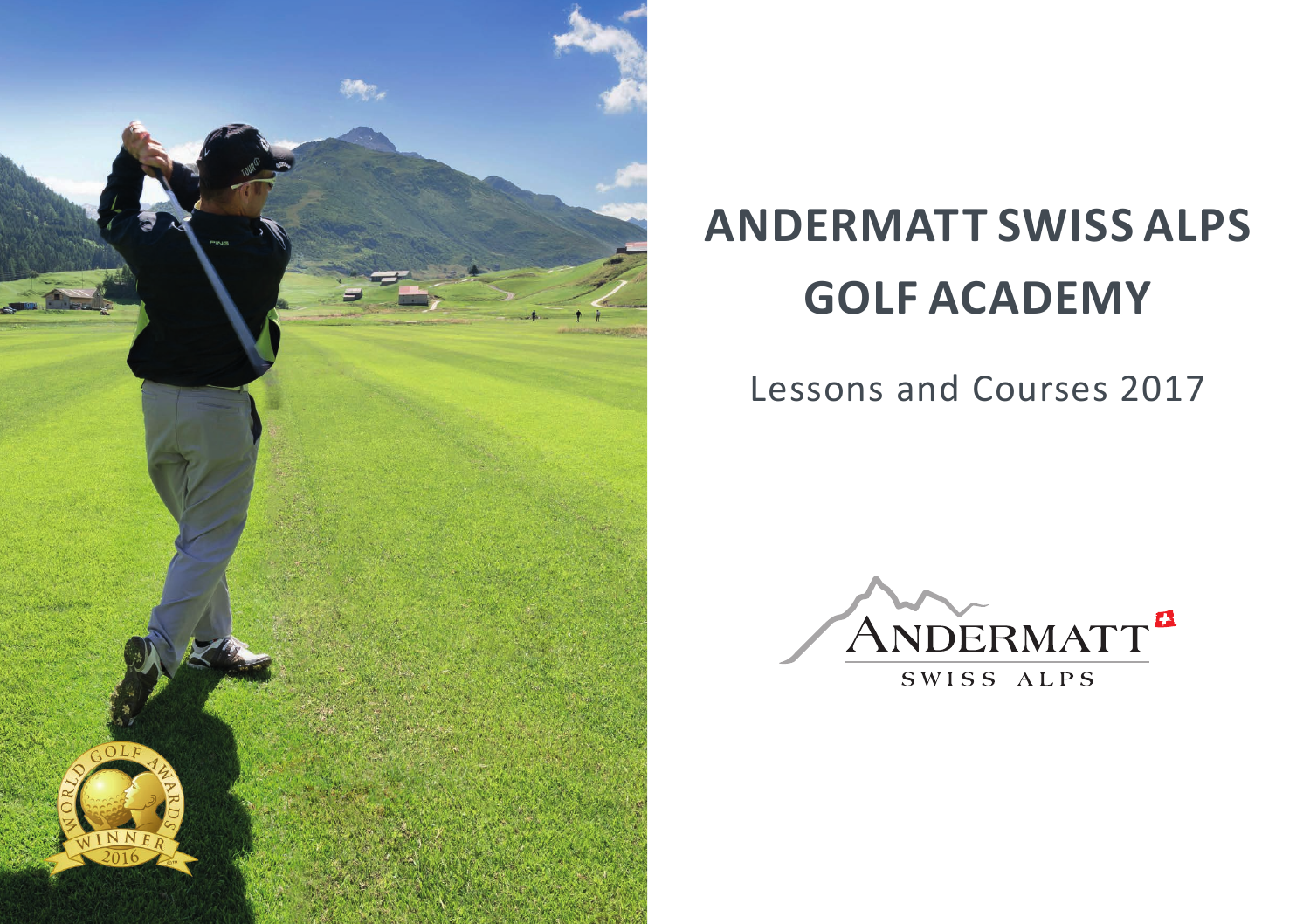

# **ANDERMATT SWISS ALPS GOLF ACADEMY**

# Lessons and Courses 2017



SWISS ALPS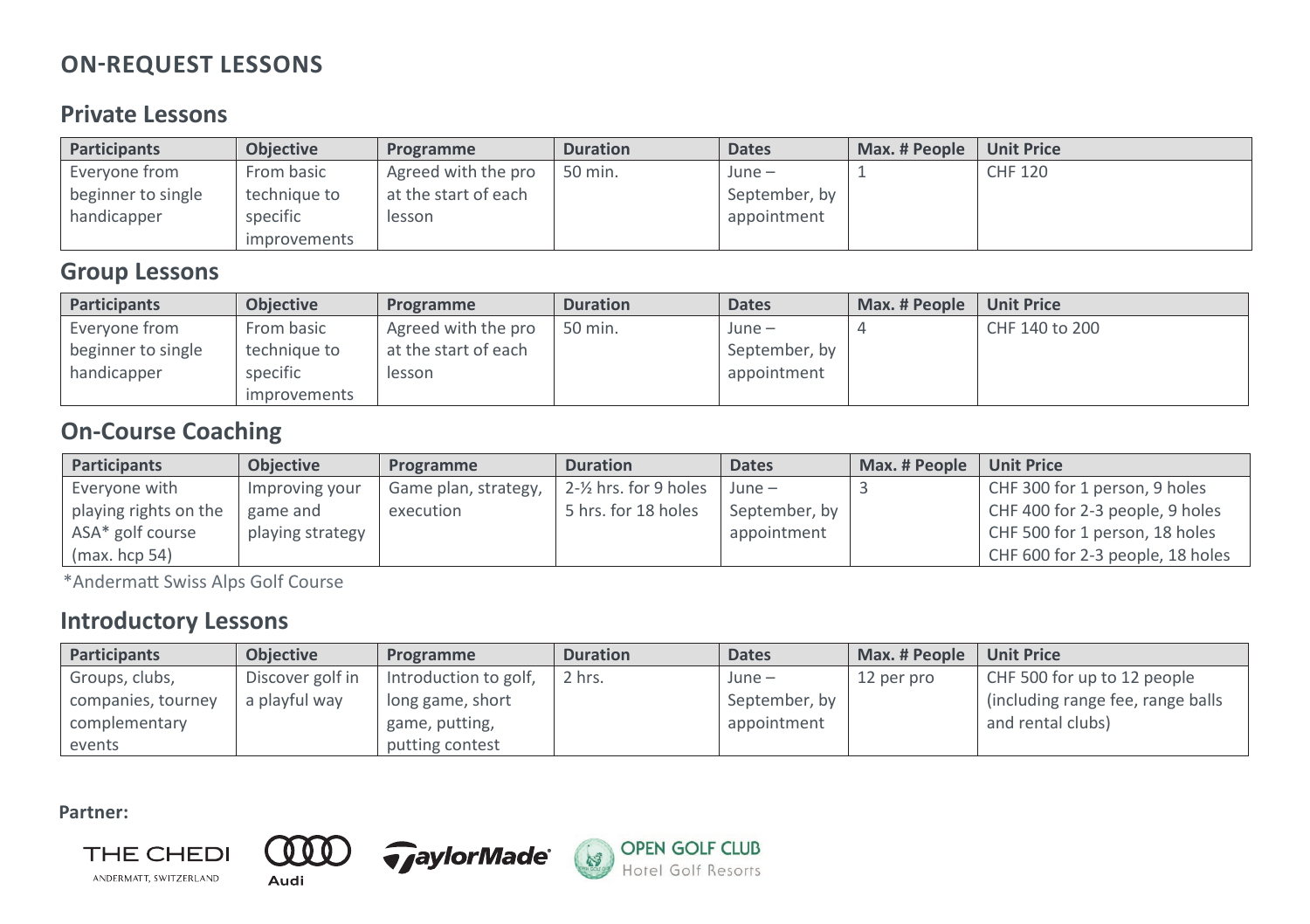# ON-REQUEST LESSONS ON-REQUEST LESSONS ON-REQUEST LESSONS ON-REQUEST LESSONS **ON-REQUEST LESSONS**

## **Private Lessons** Private Lessons Private Lessons Private Lessons Private Lessons

| <b>Participants</b> | <b>Objective</b> | Programme            | <b>Duration</b> | <b>Dates</b>  | Max. # People | <b>Unit Price</b> |
|---------------------|------------------|----------------------|-----------------|---------------|---------------|-------------------|
| Everyone from       | From basic       | Agreed with the pro  | 50 min.         | $June -$      |               | CHF 120           |
| beginner to single  | technique to     | at the start of each |                 | September, by |               |                   |
| handicapper         | specific         | lesson               |                 | appointment   |               |                   |
|                     | improvements     |                      |                 |               |               |                   |

# Group Lessons **Group Lessons** Group Lessons Group Lessons Group Lessons

| Participants       | <b>Objective</b> | Programme            | <b>Duration</b> | <b>Dates</b>  | Max. # People | <b>Unit Price</b> |
|--------------------|------------------|----------------------|-----------------|---------------|---------------|-------------------|
| Evervone from      | From basic       | Agreed with the pro  | 50 min.         | June –        |               | CHF 140 to 200    |
| beginner to single | technique to     | at the start of each |                 | September, by |               |                   |
| handicapper        | specific         | lesson               |                 | appointment   |               |                   |
|                    | improvements     |                      |                 |               |               |                   |

# On-Course Coaching On-Course Coaching **On-Course Coaching** On-Course Coaching On-Course Coaching

| Participants          | <b>Objective</b> | Programme            | <b>Duration</b>                    | <b>Dates</b>  | Max. # People | <b>Unit Price</b>                |
|-----------------------|------------------|----------------------|------------------------------------|---------------|---------------|----------------------------------|
| Evervone with         | Improving your   | Game plan, strategy, | $2 - \frac{1}{2}$ hrs. for 9 holes | $June -$      |               | CHF 300 for 1 person, 9 holes    |
| playing rights on the | game and         | execution            | 5 hrs. for 18 holes                | September, by |               | CHF 400 for 2-3 people, 9 holes  |
| ASA* golf course      | playing strategy |                      |                                    | appointment   |               | CHF 500 for 1 person, 18 holes   |
| (max, hcp 54)         |                  |                      |                                    |               |               | CHF 600 for 2-3 people, 18 holes |

\*Andermatt Swiss Alps Golf Course

### Introductory Lessons Introductory Lessons Introductory Lessons **Introductory Lessons**  Introductory Lessons

| Participants       | <b>Objective</b> | Programme             | <b>Duration</b> | <b>Dates</b>  | Max. # People | <b>Unit Price</b>                  |
|--------------------|------------------|-----------------------|-----------------|---------------|---------------|------------------------------------|
| Groups, clubs,     | Discover golf in | Introduction to golf, | 2 hrs.          | $June -$      | 12 per pro    | CHF 500 for up to 12 people        |
| companies, tourney | a playful way    | long game, short      |                 | September, by |               | (including range fee, range balls) |
| complementary      |                  | game, putting,        |                 | appointment   |               | and rental clubs)                  |
| events             |                  | putting contest       |                 |               |               |                                    |

**Partner:**





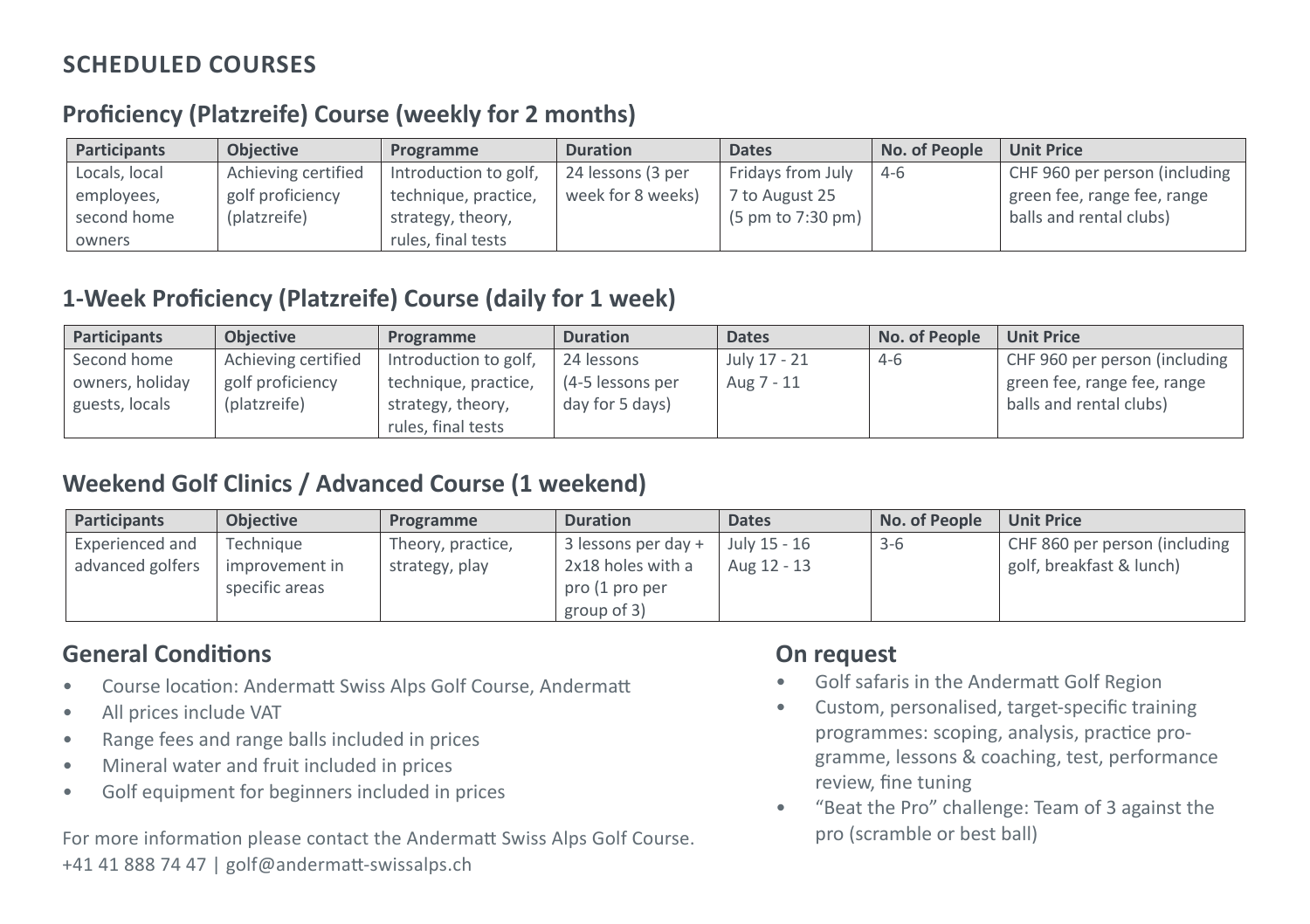### **SCHEDULED COURSES** Proficiency *(Platzreife)* Course (weekly for 2 months)

### **Proficiency (Platzreife) Course (weekly for 2 months)**

| <b>Participants</b> | <b>Objective</b>    | Programme             | <b>Duration</b>   | <b>Dates</b>                         | No. of People | <b>Unit Price</b>             |
|---------------------|---------------------|-----------------------|-------------------|--------------------------------------|---------------|-------------------------------|
| Locals, local       | Achieving certified | Introduction to golf, | 24 lessons (3 per | Fridays from July                    | $4-6$         | CHF 960 per person (including |
| employees,          | golf proficiency    | technique, practice,  | week for 8 weeks) | 7 to August 25                       |               | green fee, range fee, range   |
| second home         | (platzreife)        | strategy, theory,     |                   | $(5 \text{ pm to } 7:30 \text{ pm})$ |               | balls and rental clubs)       |
| owners              |                     | rules, final tests    |                   |                                      |               |                               |

### 1-Week Proficiency *(Platzreife)* Course (daily for 1 week) **1-Week Proficiency (Platzreife) Course (daily for 1 week)**

| <b>Participants</b> | <b>Objective</b>    | Programme             | <b>Duration</b>  | <b>Dates</b> | No. of People | <b>Unit Price</b>             |
|---------------------|---------------------|-----------------------|------------------|--------------|---------------|-------------------------------|
| Second home         | Achieving certified | Introduction to golf, | 24 lessons       | July 17 - 21 | $4-6$         | CHF 960 per person (including |
| owners, holiday     | golf proficiency    | technique, practice,  | (4-5 lessons per | Aug 7 - 11   |               | green fee, range fee, range   |
| guests, locals      | (platzreife)        | strategy, theory,     | day for 5 days)  |              |               | balls and rental clubs)       |
|                     |                     | rules, final tests    |                  |              |               |                               |

# Weekend Golf Clinics / Advanced Course (1 weekend) Weekend Golf Clinics / Advanced Course (1 weekend) **Weekend Golf Clinics / Advanced Course (1 weekend)** Weekend Golf Clinics / Advanced Course (1 weekend)

| <b>Participants</b> | <b>Objective</b>                 | Programme         | <b>Duration</b>                                    | <b>Dates</b> | No. of People | <b>Unit Price</b>             |
|---------------------|----------------------------------|-------------------|----------------------------------------------------|--------------|---------------|-------------------------------|
| Experienced and     | Technique                        | Theory, practice, | $\vert$ 3 lessons per day + $\vert$                | July 15 - 16 | $3-6$         | CHF 860 per person (including |
| advanced golfers    | improvement in<br>specific areas | strategy, play    | 2x18 holes with a<br>pro (1 pro per<br>group of 3) | Aug 12 - 13  |               | golf, breakfast & lunch)      |

### **General Conditions**

- Course location: Andermatt Swiss Alps Golf Course, Andermatt
- All prices include VAT
- Range fees and range balls included in prices
- Mineral water and fruit included in prices
- Golf equipment for beginners included in prices

For more information please contact the Andermatt Swiss Alps Golf Course. +41 41 888 74 47 | golf@andermatt-swissalps.ch

### **On request**

- Golf safaris in the Andermatt Golf Region
- Custom, personalised, target-specific training programmes: scoping, analysis, practice programme, lessons & coaching, test, performance review, fine tuning
- "Beat the Pro" challenge: Team of 3 against the pro (scramble or best ball)